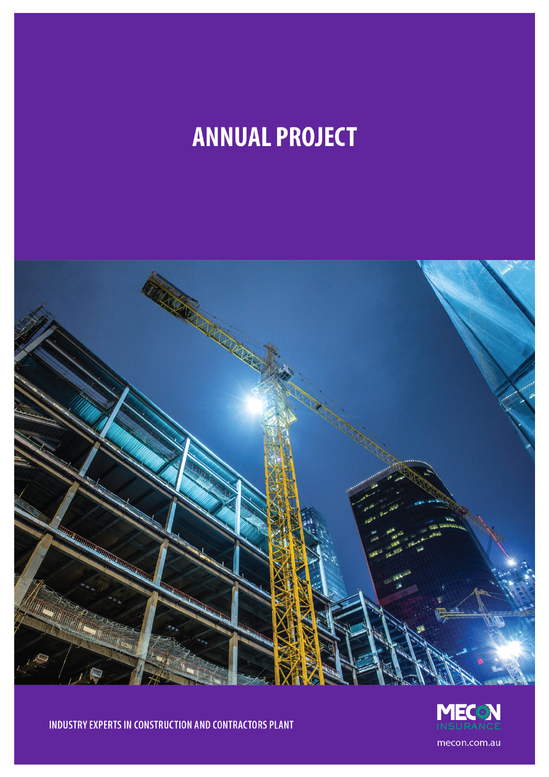# **ANNUAL PROJECT**





INDUSTRY EXPERTS IN CONSTRUCTION AND CONTRACTORS PLANT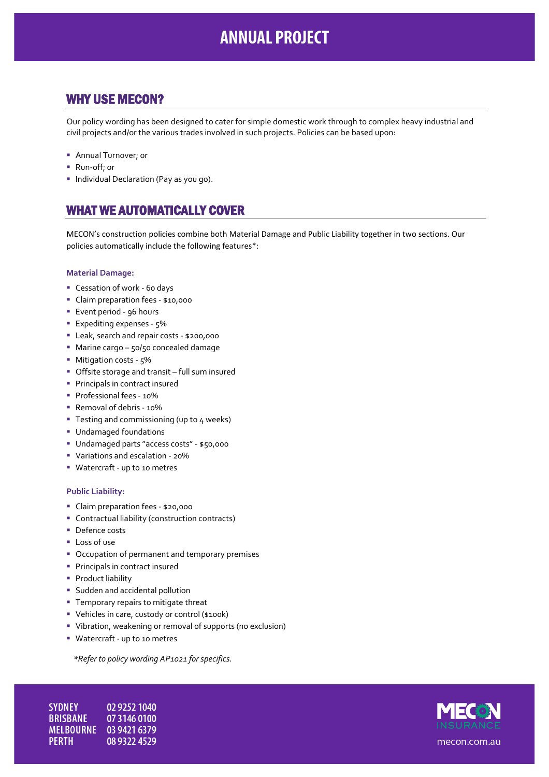# **ANNUAL PROJECT**

## WHY USE MECON?

Our policy wording has been designed to cater for simple domestic work through to complex heavy industrial and civil projects and/or the various trades involved in such projects. Policies can be based upon:

- **Annual Turnover; or**
- Run-off; or
- **Individual Declaration (Pay as you go).**

### WHAT WE AUTOMATICALLY COVER

MECON's construction policies combine both Material Damage and Public Liability together in two sections. Our policies automatically include the following features\*:

#### **Material Damage:**

- Cessation of work 60 days
- Claim preparation fees \$10,000
- Event period 96 hours
- **Expediting expenses 5%**
- Leak, search and repair costs \$200,000
- Marine cargo 50/50 concealed damage
- Mitigation costs 5%
- Offsite storage and transit full sum insured
- **Principals in contract insured**
- **Professional fees 10%**
- Removal of debris 10%
- Testing and commissioning (up to 4 weeks)
- Undamaged foundations
- Undamaged parts "access costs" \$50,000
- Variations and escalation 20%
- Watercraft up to 10 metres

#### **Public Liability:**

- Claim preparation fees \$20,000
- Contractual liability (construction contracts)
- Defence costs
- **Loss of use**
- Occupation of permanent and temporary premises
- **Principals in contract insured**
- **Product liability**
- **Sudden and accidental pollution**
- **Temporary repairs to mitigate threat**
- Vehicles in care, custody or control (\$100k)
- Vibration, weakening or removal of supports (no exclusion)
- Watercraft up to 10 metres

*\*Refer to policy wording AP1021 for specifics.* 

**SYDNEY** 02 9252 1040 **BRISBANE** 07 3146 0100 MELBOURNE 03 9421 6379 **PERTH** 08 9322 4529